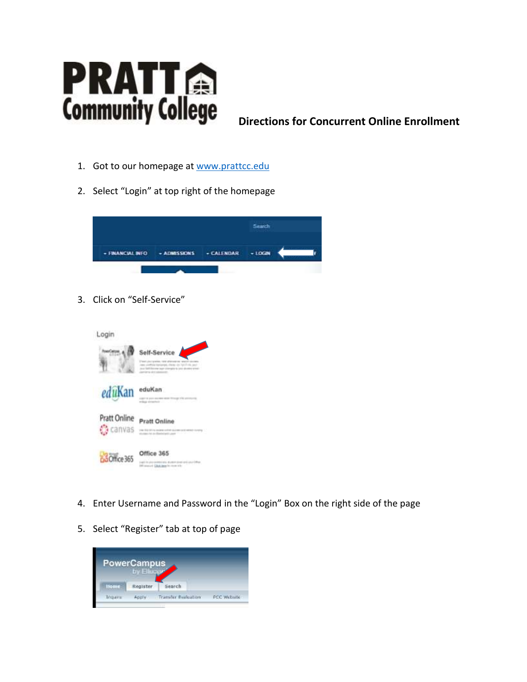

**Directions for Concurrent Online Enrollment**

- 1. Got to our homepage at [www.prattcc.edu](http://www.prattcc.edu/)
- 2. Select "Login" at top right of the homepage



3. Click on "Self-Service"



- 4. Enter Username and Password in the "Login" Box on the right side of the page
- 5. Select "Register" tab at top of page

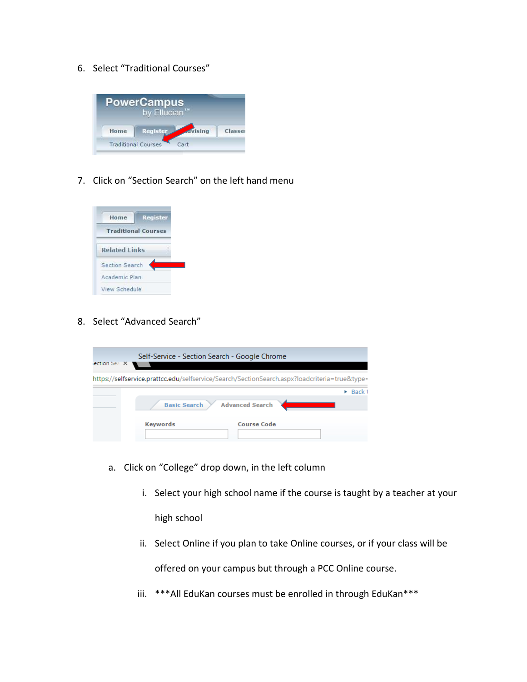6. Select "Traditional Courses"



7. Click on "Section Search" on the left hand menu



8. Select "Advanced Search"

| ection Sear X | Self-Service - Section Search - Google Chrome                                                 |                        |  |             |
|---------------|-----------------------------------------------------------------------------------------------|------------------------|--|-------------|
|               | https://selfservice.prattcc.edu/selfservice/Search/SectionSearch.aspx?loadcriteria=true&type= |                        |  |             |
|               | <b>Basic Search</b> >                                                                         | <b>Advanced Search</b> |  | <b>Back</b> |
|               | <b>Keywords</b>                                                                               | <b>Course Code</b>     |  |             |

- a. Click on "College" drop down, in the left column
	- i. Select your high school name if the course is taught by a teacher at your high school
	- ii. Select Online if you plan to take Online courses, or if your class will be offered on your campus but through a PCC Online course.
	- iii. \*\*\*All EduKan courses must be enrolled in through EduKan\*\*\*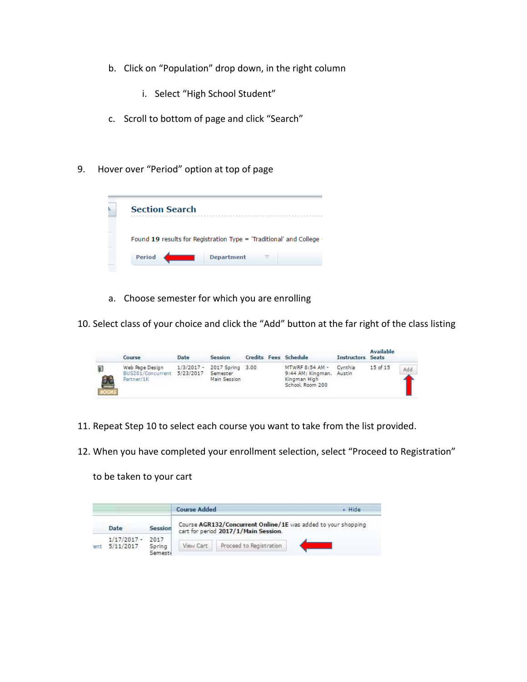- b. Click on "Population" drop down, in the right column
	- i. Select "High School Student"
- c. Scroll to bottom of page and click "Search"
- 9. Hover over "Period" option at top of page



a. Choose semester for which you are enrolling

10. Select class of your choice and click the "Add" button at the far right of the class listing

|              | Course                                                       | Date | <b>Session</b>                                          |  | Credits Fees Schedule                                                    | <b>Instructors Seats</b> | Available |     |
|--------------|--------------------------------------------------------------|------|---------------------------------------------------------|--|--------------------------------------------------------------------------|--------------------------|-----------|-----|
| $\mathbf{a}$ | Web Page Design<br>BUS201/Concurrent 5/23/2017<br>Partner/1K |      | 1/3/2017 - 2017 Spring 3,00<br>Semester<br>Main Session |  | MTWRF 8:54 AM -<br>9:44 AM; Kingman,<br>Kingman High<br>School, Room 200 | Cynthia<br><b>Austin</b> | 15 of 15  | Add |

- 11. Repeat Step 10 to select each course you want to take from the list provided.
- 12. When you have completed your enrollment selection, select "Proceed to Registration"

to be taken to your cart

|      |               |         | <b>Course Added</b> |                                                                                                       |  |
|------|---------------|---------|---------------------|-------------------------------------------------------------------------------------------------------|--|
|      | Date          | Session |                     | Course AGR132/Concurrent Online/1E was added to your shopping<br>cart for period 2017/1/Main Session. |  |
|      | $1/17/2017 -$ | 2017    |                     |                                                                                                       |  |
| 'ent | 5/11/2017     | Spring  |                     | Proceed to Registration                                                                               |  |